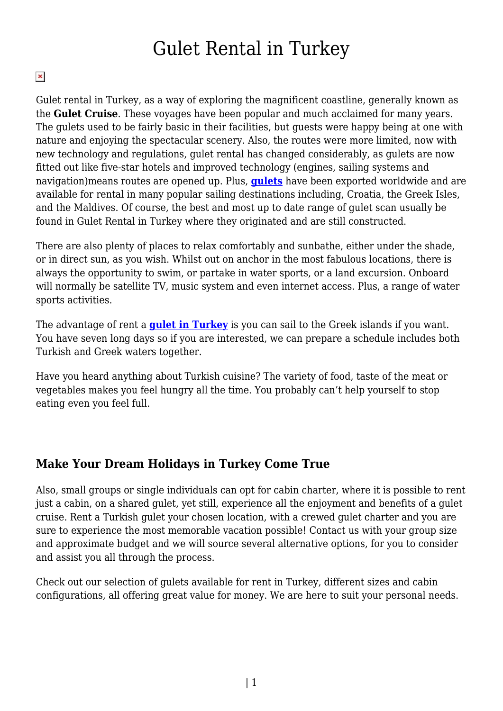## Gulet Rental in Turkey

## $\pmb{\times}$

Gulet rental in Turkey, as a way of exploring the magnificent coastline, generally known as the **Gulet Cruise**. These voyages have been popular and much acclaimed for many years. The gulets used to be fairly basic in their facilities, but guests were happy being at one with nature and enjoying the spectacular scenery. Also, the routes were more limited, now with new technology and regulations, gulet rental has changed considerably, as gulets are now fitted out like five-star hotels and improved technology (engines, sailing systems and navigation)means routes are opened up. Plus, **[gulets](https://www.guletbroker.com)** have been exported worldwide and are available for rental in many popular sailing destinations including, Croatia, the Greek Isles, and the Maldives. Of course, the best and most up to date range of gulet scan usually be found in Gulet Rental in Turkey where they originated and are still constructed.

There are also plenty of places to relax comfortably and sunbathe, either under the shade, or in direct sun, as you wish. Whilst out on anchor in the most fabulous locations, there is always the opportunity to swim, or partake in water sports, or a land excursion. Onboard will normally be satellite TV, music system and even internet access. Plus, a range of water sports activities.

The advantage of rent a **[gulet in Turkey](https://www.guletbroker.com/)** is you can sail to the Greek islands if you want. You have seven long days so if you are interested, we can prepare a schedule includes both Turkish and Greek waters together.

Have you heard anything about Turkish cuisine? The variety of food, taste of the meat or vegetables makes you feel hungry all the time. You probably can't help yourself to stop eating even you feel full.

## **Make Your Dream Holidays in Turkey Come True**

Also, small groups or single individuals can opt for cabin charter, where it is possible to rent just a cabin, on a shared gulet, yet still, experience all the enjoyment and benefits of a gulet cruise. Rent a Turkish gulet your chosen location, with a crewed gulet charter and you are sure to experience the most memorable vacation possible! Contact us with your group size and approximate budget and we will source several alternative options, for you to consider and assist you all through the process.

Check out our selection of gulets available for rent in Turkey, different sizes and cabin configurations, all offering great value for money. We are here to suit your personal needs.